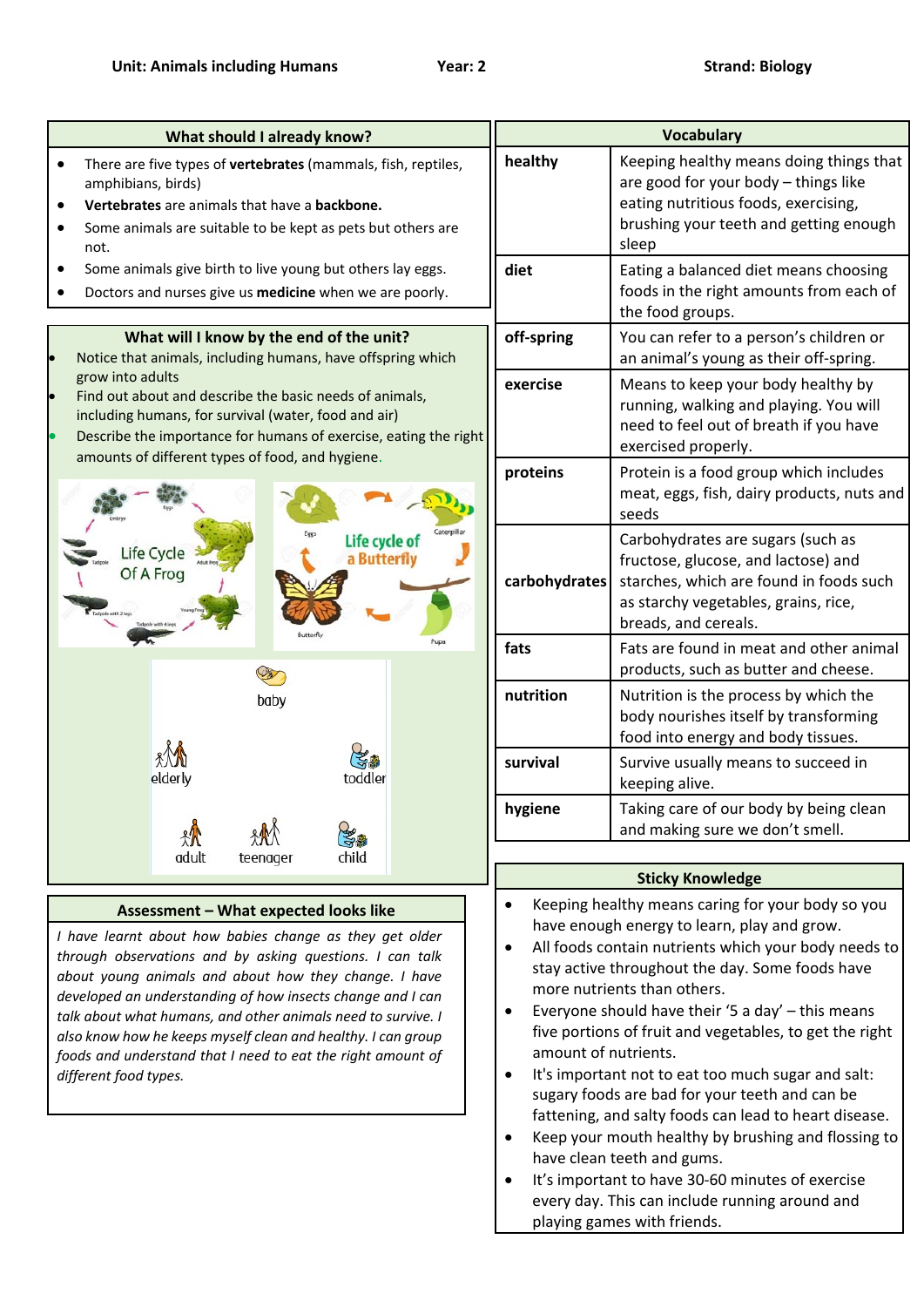| What should I already know?                                                                                                                                                                                                                                                                                                                                                                                                                                                                                 | <b>Vocabulary</b>                                                                                                                                                                                                                                                                                                                                                                                                                                                                                                                                                                                                                                                                                                                                                                                       |                                                                                                                                                                                     |
|-------------------------------------------------------------------------------------------------------------------------------------------------------------------------------------------------------------------------------------------------------------------------------------------------------------------------------------------------------------------------------------------------------------------------------------------------------------------------------------------------------------|---------------------------------------------------------------------------------------------------------------------------------------------------------------------------------------------------------------------------------------------------------------------------------------------------------------------------------------------------------------------------------------------------------------------------------------------------------------------------------------------------------------------------------------------------------------------------------------------------------------------------------------------------------------------------------------------------------------------------------------------------------------------------------------------------------|-------------------------------------------------------------------------------------------------------------------------------------------------------------------------------------|
| There are five types of vertebrates (mammals, fish, reptiles,<br>amphibians, birds)<br>Vertebrates are animals that have a backbone.<br>Some animals are suitable to be kept as pets but others are<br>not.                                                                                                                                                                                                                                                                                                 | healthy                                                                                                                                                                                                                                                                                                                                                                                                                                                                                                                                                                                                                                                                                                                                                                                                 | Keeping healthy means doing things that<br>are good for your body - things like<br>eating nutritious foods, exercising,<br>brushing your teeth and getting enough<br>sleep          |
| Some animals give birth to live young but others lay eggs.<br>Doctors and nurses give us medicine when we are poorly.                                                                                                                                                                                                                                                                                                                                                                                       | diet                                                                                                                                                                                                                                                                                                                                                                                                                                                                                                                                                                                                                                                                                                                                                                                                    | Eating a balanced diet means choosing<br>foods in the right amounts from each of<br>the food groups.                                                                                |
| What will I know by the end of the unit?<br>Notice that animals, including humans, have offspring which                                                                                                                                                                                                                                                                                                                                                                                                     | off-spring                                                                                                                                                                                                                                                                                                                                                                                                                                                                                                                                                                                                                                                                                                                                                                                              | You can refer to a person's children or<br>an animal's young as their off-spring.                                                                                                   |
| grow into adults<br>Find out about and describe the basic needs of animals,<br>including humans, for survival (water, food and air)<br>Describe the importance for humans of exercise, eating the right                                                                                                                                                                                                                                                                                                     | exercise                                                                                                                                                                                                                                                                                                                                                                                                                                                                                                                                                                                                                                                                                                                                                                                                | Means to keep your body healthy by<br>running, walking and playing. You will<br>need to feel out of breath if you have<br>exercised properly.                                       |
| amounts of different types of food, and hygiene.                                                                                                                                                                                                                                                                                                                                                                                                                                                            | proteins                                                                                                                                                                                                                                                                                                                                                                                                                                                                                                                                                                                                                                                                                                                                                                                                | Protein is a food group which includes<br>meat, eggs, fish, dairy products, nuts and<br>seeds                                                                                       |
| Life cycle o<br>ife Cycle<br>a Butterfly<br>Of A Frog                                                                                                                                                                                                                                                                                                                                                                                                                                                       | carbohydrates                                                                                                                                                                                                                                                                                                                                                                                                                                                                                                                                                                                                                                                                                                                                                                                           | Carbohydrates are sugars (such as<br>fructose, glucose, and lactose) and<br>starches, which are found in foods such<br>as starchy vegetables, grains, rice,<br>breads, and cereals. |
|                                                                                                                                                                                                                                                                                                                                                                                                                                                                                                             | fats                                                                                                                                                                                                                                                                                                                                                                                                                                                                                                                                                                                                                                                                                                                                                                                                    | Fats are found in meat and other animal<br>products, such as butter and cheese.                                                                                                     |
| baby<br>toddler<br>elderly                                                                                                                                                                                                                                                                                                                                                                                                                                                                                  | nutrition                                                                                                                                                                                                                                                                                                                                                                                                                                                                                                                                                                                                                                                                                                                                                                                               | Nutrition is the process by which the<br>body nourishes itself by transforming<br>food into energy and body tissues.                                                                |
|                                                                                                                                                                                                                                                                                                                                                                                                                                                                                                             | survival                                                                                                                                                                                                                                                                                                                                                                                                                                                                                                                                                                                                                                                                                                                                                                                                | Survive usually means to succeed in<br>keeping alive.                                                                                                                               |
| child<br>adult                                                                                                                                                                                                                                                                                                                                                                                                                                                                                              | hygiene                                                                                                                                                                                                                                                                                                                                                                                                                                                                                                                                                                                                                                                                                                                                                                                                 | Taking care of our body by being clean<br>and making sure we don't smell.                                                                                                           |
| teenager                                                                                                                                                                                                                                                                                                                                                                                                                                                                                                    |                                                                                                                                                                                                                                                                                                                                                                                                                                                                                                                                                                                                                                                                                                                                                                                                         | <b>Sticky Knowledge</b>                                                                                                                                                             |
| Assessment - What expected looks like<br>I have learnt about how babies change as they get older<br>through observations and by asking questions. I can talk<br>about young animals and about how they change. I have<br>developed an understanding of how insects change and I can<br>talk about what humans, and other animals need to survive. I<br>also know how he keeps myself clean and healthy. I can group<br>foods and understand that I need to eat the right amount of<br>different food types. | Keeping healthy means caring for your body so you<br>have enough energy to learn, play and grow.<br>All foods contain nutrients which your body needs to<br>$\bullet$<br>stay active throughout the day. Some foods have<br>more nutrients than others.<br>Everyone should have their '5 a day' - this means<br>$\bullet$<br>five portions of fruit and vegetables, to get the right<br>amount of nutrients.<br>It's important not to eat too much sugar and salt:<br>sugary foods are bad for your teeth and can be<br>fattening, and salty foods can lead to heart disease.<br>Keep your mouth healthy by brushing and flossing to<br>have clean teeth and gums.<br>It's important to have 30-60 minutes of exercise<br>every day. This can include running around and<br>playing games with friends. |                                                                                                                                                                                     |